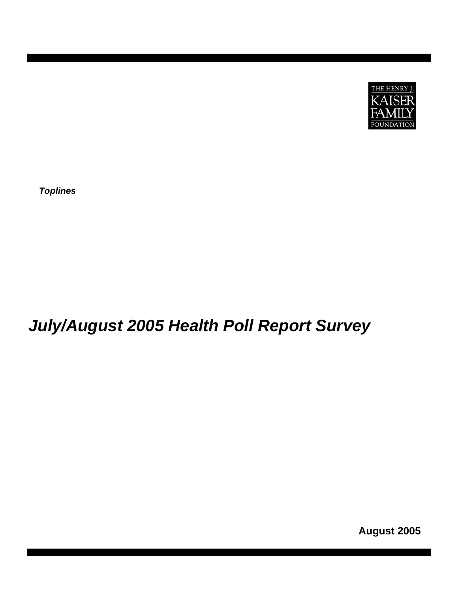

*Toplines* 

# *July/August 2005 Health Poll Report Survey*

**AUGUST 2005 KAISER HEALTH POLL REPORT** 

**August 2005**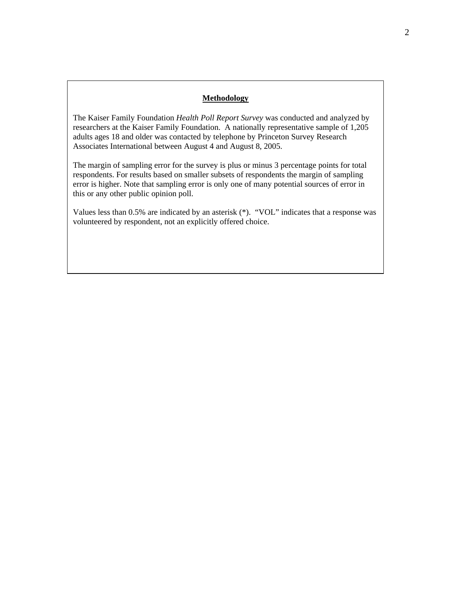## **Methodology**

The Kaiser Family Foundation *Health Poll Report Survey* was conducted and analyzed by researchers at the Kaiser Family Foundation. A nationally representative sample of 1,205 adults ages 18 and older was contacted by telephone by Princeton Survey Research Associates International between August 4 and August 8, 2005.

The margin of sampling error for the survey is plus or minus 3 percentage points for total respondents. For results based on smaller subsets of respondents the margin of sampling error is higher. Note that sampling error is only one of many potential sources of error in this or any other public opinion poll.

Values less than 0.5% are indicated by an asterisk (\*). "VOL" indicates that a response was volunteered by respondent, not an explicitly offered choice.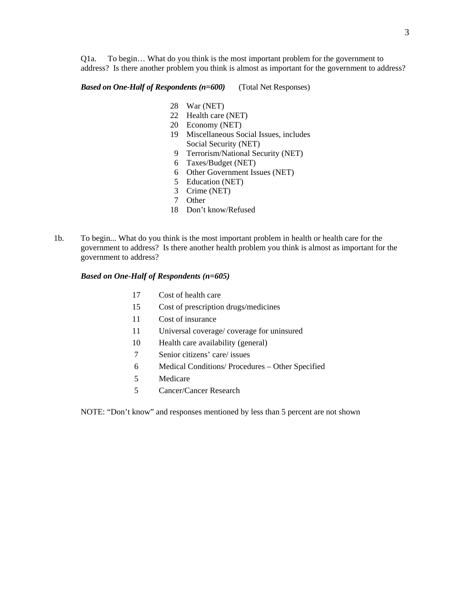Q1a. To begin… What do you think is the most important problem for the government to address? Is there another problem you think is almost as important for the government to address?

*Based on One-Half of Respondents (n=600)* (Total Net Responses)

- 28 War (NET)
- 22 Health care (NET)
- 20 Economy (NET)
- 19 Miscellaneous Social Issues, includes Social Security (NET)
- 9 Terrorism/National Security (NET)
- 6 Taxes/Budget (NET)
- 6 Other Government Issues (NET)
- 5 Education (NET)
- 3 Crime (NET)
- 7 Other
- 18 Don't know/Refused
- 1b. To begin... What do you think is the most important problem in health or health care for the government to address? Is there another health problem you think is almost as important for the government to address?

#### *Based on One-Half of Respondents (n=605)*

- 17 Cost of health care
- 15 Cost of prescription drugs/medicines
- 11 Cost of insurance
- 11 Universal coverage/ coverage for uninsured
- 10 Health care availability (general)
- 7 Senior citizens' care/ issues
- 6 Medical Conditions/ Procedures Other Specified
- 5 Medicare
- 5 Cancer/Cancer Research

NOTE: "Don't know" and responses mentioned by less than 5 percent are not shown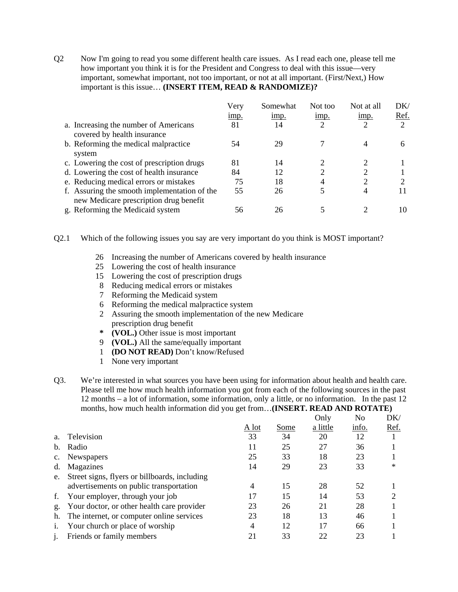Q2 Now I'm going to read you some different health care issues. As I read each one, please tell me how important you think it is for the President and Congress to deal with this issue—very important, somewhat important, not too important, or not at all important. (First/Next,) How important is this issue… **(INSERT ITEM, READ & RANDOMIZE)?**

|                                                                                        | Very | Somewhat | Not too | Not at all    | DK/  |
|----------------------------------------------------------------------------------------|------|----------|---------|---------------|------|
|                                                                                        | imp. | imp.     | imp.    | imp.          | Ref. |
| a. Increasing the number of Americans<br>covered by health insurance                   | 81   | 14       | 2       |               |      |
| b. Reforming the medical malpractice<br>system                                         | 54   | 29       |         |               | 6    |
| c. Lowering the cost of prescription drugs                                             | 81   | 14       |         |               |      |
| d. Lowering the cost of health insurance                                               | 84   | 12       | ∍       | ↑             |      |
| e. Reducing medical errors or mistakes                                                 | 75   | 18       |         | $\mathcal{D}$ |      |
| f. Assuring the smooth implementation of the<br>new Medicare prescription drug benefit | 55   | 26       |         |               |      |
| g. Reforming the Medicaid system                                                       | 56   | 26       |         |               |      |

Q2.1 Which of the following issues you say are very important do you think is MOST important?

- 26 Increasing the number of Americans covered by health insurance
- 25 Lowering the cost of health insurance
- 15 Lowering the cost of prescription drugs
- 8 Reducing medical errors or mistakes
- 7 Reforming the Medicaid system
- 6 Reforming the medical malpractice system
- 2 Assuring the smooth implementation of the new Medicare prescription drug benefit
- **\* (VOL.)** Other issue is most important
- 9 **(VOL.)** All the same/equally important
- 1 **(DO NOT READ)** Don't know/Refused
- 1 None very important
- Q3. We're interested in what sources you have been using for information about health and health care. Please tell me how much health information you got from each of the following sources in the past 12 months – a lot of information, some information, only a little, or no information. In the past 12 months, how much health information did you get from…**(INSERT. READ AND ROTATE)**

|                |                                               |       |      | Only     | No    | DK/    |
|----------------|-----------------------------------------------|-------|------|----------|-------|--------|
|                |                                               | A lot | Some | a little | info. | Ref.   |
| a <sub>1</sub> | Television                                    | 33    | 34   | 20       | 12    |        |
| $\mathbf{b}$ . | Radio                                         | 11    | 25   | 27       | 36    |        |
|                | <b>Newspapers</b>                             | 25    | 33   | 18       | 23    |        |
| d.             | Magazines                                     | 14    | 29   | 23       | 33    | $\ast$ |
| e.             | Street signs, flyers or billboards, including |       |      |          |       |        |
|                | advertisements on public transportation       | 4     | 15   | 28       | 52    |        |
| f.             | Your employer, through your job               | 17    | 15   | 14       | 53    |        |
| g.             | Your doctor, or other health care provider    | 23    | 26   | 21       | 28    |        |
| h.             | The internet, or computer online services     | 23    | 18   | 13       | 46    |        |
| 1.             | Your church or place of worship               | 4     | 12   | 17       | 66    |        |
| $\mathbf{1}$ . | Friends or family members                     | 21    | 33   | 22       | 23    |        |
|                |                                               |       |      |          |       |        |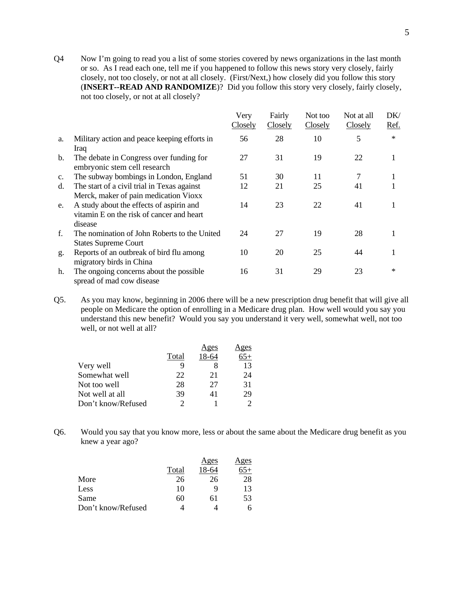Q4 Now I'm going to read you a list of some stories covered by news organizations in the last month or so. As I read each one, tell me if you happened to follow this news story very closely, fairly closely, not too closely, or not at all closely. (First/Next,) how closely did you follow this story (**INSERT--READ AND RANDOMIZE**)? Did you follow this story very closely, fairly closely, not too closely, or not at all closely?

|                |                                                                                                                                           | Very<br>Closely | Fairly<br>Closely | Not too<br>Closely | Not at all<br>Closely | DK/<br>Ref. |
|----------------|-------------------------------------------------------------------------------------------------------------------------------------------|-----------------|-------------------|--------------------|-----------------------|-------------|
| a.             | Military action and peace keeping efforts in                                                                                              | 56              | 28                | 10                 | 5                     | $\ast$      |
| $\mathbf{b}$ . | <b>Iraq</b><br>The debate in Congress over funding for<br>embryonic stem cell research                                                    | 27              | 31                | 19                 | 22                    |             |
| $C_{\bullet}$  | The subway bombings in London, England                                                                                                    | 51              | 30                | 11                 | 7                     |             |
| d.             | The start of a civil trial in Texas against                                                                                               | 12              | 21                | 25                 | 41                    |             |
| e.             | Merck, maker of pain medication Vioxx<br>A study about the effects of aspirin and<br>vitamin E on the risk of cancer and heart<br>disease | 14              | 23                | 22                 | 41                    |             |
| f.             | The nomination of John Roberts to the United<br><b>States Supreme Court</b>                                                               | 24              | 27                | 19                 | 28                    |             |
| g.             | Reports of an outbreak of bird flu among<br>migratory birds in China                                                                      | 10              | 20                | 25                 | 44                    |             |
| h.             | The ongoing concerns about the possible<br>spread of mad cow disease                                                                      | 16              | 31                | 29                 | 23                    | $\ast$      |

Q5. As you may know, beginning in 2006 there will be a new prescription drug benefit that will give all people on Medicare the option of enrolling in a Medicare drug plan. How well would you say you understand this new benefit? Would you say you understand it very well, somewhat well, not too well, or not well at all?

|                    |       | Ages  | <u>Ages</u> |
|--------------------|-------|-------|-------------|
|                    | Total | 18-64 |             |
| Very well          | 9     |       | 13          |
| Somewhat well      | 22    | 21    | 24          |
| Not too well       | 28    | 27    | 31          |
| Not well at all    | 39    | 41    | 29          |
| Don't know/Refused |       |       |             |

Q6. Would you say that you know more, less or about the same about the Medicare drug benefit as you knew a year ago?

|                    |       | Ages  | Ages |
|--------------------|-------|-------|------|
|                    | Total | 18-64 |      |
| More               | 26    | 26    | 28   |
| Less               | 10    | q     | 13   |
| Same               | 60    | 61    | 53   |
| Don't know/Refused |       |       |      |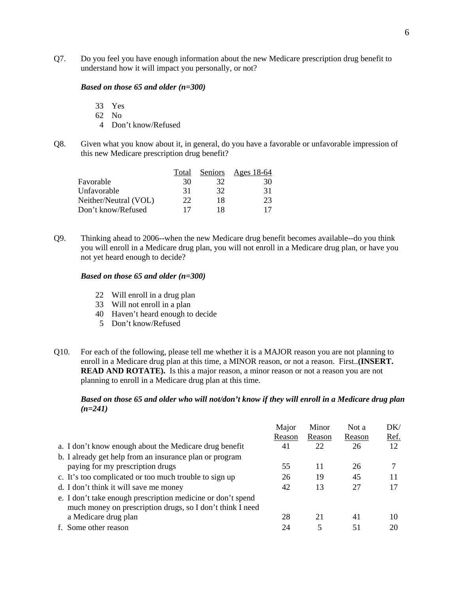Q7. Do you feel you have enough information about the new Medicare prescription drug benefit to understand how it will impact you personally, or not?

#### *Based on those 65 and older (n=300)*

- 33 Yes
- 62 No
- 4 Don't know/Refused
- Q8. Given what you know about it, in general, do you have a favorable or unfavorable impression of this new Medicare prescription drug benefit?

|                       | Total | Seniors | Ages 18-64 |
|-----------------------|-------|---------|------------|
| Favorable             | 30    | 32      | 30         |
| Unfavorable           | 31    | 32      | 31         |
| Neither/Neutral (VOL) | 22    | 18      | 23         |
| Don't know/Refused    | 17    | 18      | 17         |

Q9. Thinking ahead to 2006--when the new Medicare drug benefit becomes available--do you think you will enroll in a Medicare drug plan, you will not enroll in a Medicare drug plan, or have you not yet heard enough to decide?

#### *Based on those 65 and older (n=300)*

- 22 Will enroll in a drug plan
- 33 Will not enroll in a plan
- 40 Haven't heard enough to decide
- 5 Don't know/Refused
- Q10. For each of the following, please tell me whether it is a MAJOR reason you are not planning to enroll in a Medicare drug plan at this time, a MINOR reason, or not a reason. First..**(INSERT. READ AND ROTATE).** Is this a major reason, a minor reason or not a reason you are not planning to enroll in a Medicare drug plan at this time.

## *Based on those 65 and older who will not/don't know if they will enroll in a Medicare drug plan (n=241)*

|                                                                                                                          | Major<br>Reason | Minor<br>Reason | Not a<br>Reason | DK/<br>Ref. |
|--------------------------------------------------------------------------------------------------------------------------|-----------------|-----------------|-----------------|-------------|
| a. I don't know enough about the Medicare drug benefit                                                                   | 41              | 22              | 26              | 12          |
| b. I already get help from an insurance plan or program                                                                  |                 |                 |                 |             |
| paying for my prescription drugs                                                                                         | 55              | 11              | 26              |             |
| c. It's too complicated or too much trouble to sign up                                                                   | 26              | 19              | 45              |             |
| d. I don't think it will save me money                                                                                   | 42              | 13              | 27              |             |
| e. I don't take enough prescription medicine or don't spend<br>much money on prescription drugs, so I don't think I need |                 |                 |                 |             |
| a Medicare drug plan                                                                                                     | 28              | 21              | 41              | 10          |
| f. Some other reason                                                                                                     | 24              | 5               | 51              |             |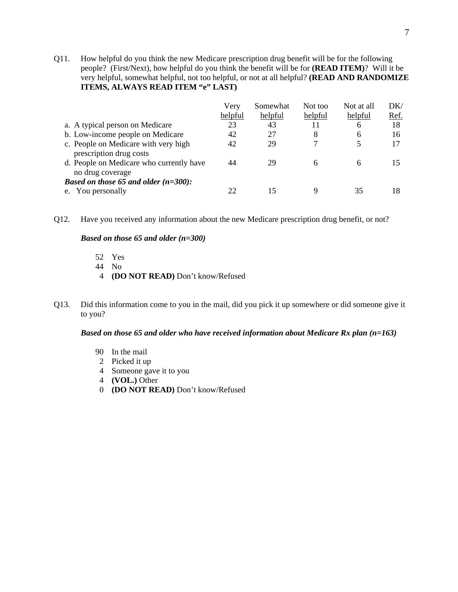Q11. How helpful do you think the new Medicare prescription drug benefit will be for the following people? (First/Next), how helpful do you think the benefit will be for **(READ ITEM)**? Will it be very helpful, somewhat helpful, not too helpful, or not at all helpful? **(READ AND RANDOMIZE ITEMS, ALWAYS READ ITEM "e" LAST)** 

|                                                                 | Very    | Somewhat | Not too | Not at all | DK/  |
|-----------------------------------------------------------------|---------|----------|---------|------------|------|
|                                                                 | helpful | helpful  | helpful | helpful    | Ref. |
| a. A typical person on Medicare                                 | 23      | 43       | 11      | 6          | 18   |
| b. Low-income people on Medicare                                | 42      | 27       | 8       | 6          | 16   |
| c. People on Medicare with very high<br>prescription drug costs | 42      | 29       |         |            |      |
| d. People on Medicare who currently have<br>no drug coverage    | 44      | 29       |         | 6          |      |
| <i>Based on those 65 and older <math>(n=300)</math>:</i>        |         |          |         |            |      |
| You personally<br>e.                                            |         |          |         | 35         | 18   |

Q12. Have you received any information about the new Medicare prescription drug benefit, or not?

## *Based on those 65 and older (n=300)*

- 52 Yes
- 44 No
- 4 **(DO NOT READ)** Don't know/Refused
- Q13. Did this information come to you in the mail, did you pick it up somewhere or did someone give it to you?

## *Based on those 65 and older who have received information about Medicare Rx plan (n=163)*

- 90 In the mail
- 2 Picked it up
- 4 Someone gave it to you
- 4 **(VOL.)** Other
- 0 **(DO NOT READ)** Don't know/Refused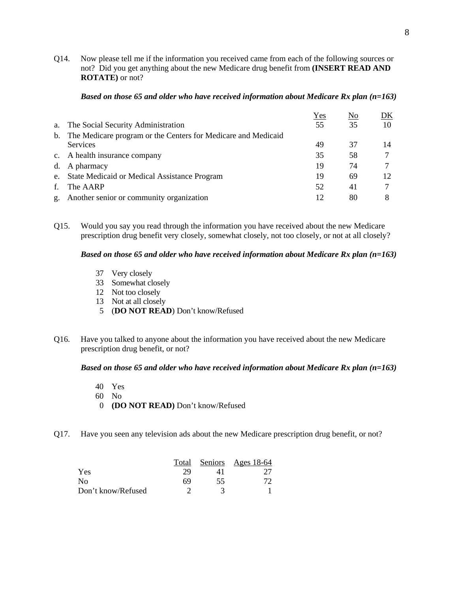Q14. Now please tell me if the information you received came from each of the following sources or not? Did you get anything about the new Medicare drug benefit from **(INSERT READ AND ROTATE)** or not?

|    |                                                               | Yes | $\underline{\mathrm{No}}$ | DK |
|----|---------------------------------------------------------------|-----|---------------------------|----|
| a. | The Social Security Administration                            | 55  | 35                        | 10 |
| b. | The Medicare program or the Centers for Medicare and Medicaid |     |                           |    |
|    | <b>Services</b>                                               | 49  | 37                        | 14 |
|    | c. A health insurance company                                 | 35  | 58                        |    |
|    | d. A pharmacy                                                 | 19  | 74                        |    |
|    | e. State Medicaid or Medical Assistance Program               | 19  | 69                        | 12 |
| f. | The AARP                                                      | 52  | 41                        |    |
|    | g. Another senior or community organization                   | 12  | 80                        |    |

#### *Based on those 65 and older who have received information about Medicare Rx plan (n=163)*

Q15. Would you say you read through the information you have received about the new Medicare prescription drug benefit very closely, somewhat closely, not too closely, or not at all closely?

## *Based on those 65 and older who have received information about Medicare Rx plan (n=163)*

- 37 Very closely
- 33 Somewhat closely
- 12 Not too closely
- 13 Not at all closely
- 5 (**DO NOT READ**) Don't know/Refused
- Q16. Have you talked to anyone about the information you have received about the new Medicare prescription drug benefit, or not?

#### *Based on those 65 and older who have received information about Medicare Rx plan (n=163)*

- 40 Yes
- 60 No
- 0 **(DO NOT READ)** Don't know/Refused
- Q17. Have you seen any television ads about the new Medicare prescription drug benefit, or not?

|                    | Total |    | Seniors Ages 18-64 |
|--------------------|-------|----|--------------------|
| Yes                | 29    |    |                    |
| No                 | 69    | 55 |                    |
| Don't know/Refused |       |    |                    |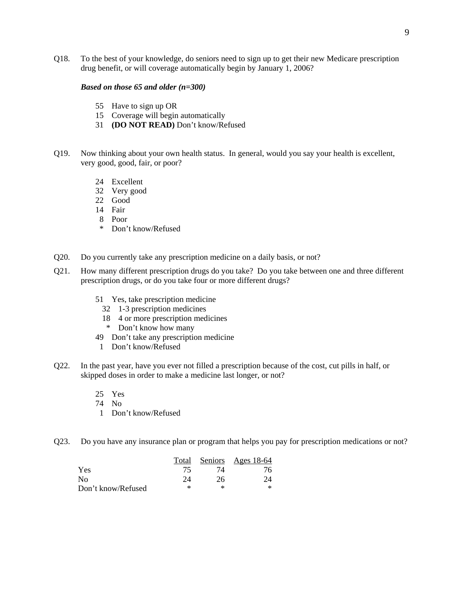Q18. To the best of your knowledge, do seniors need to sign up to get their new Medicare prescription drug benefit, or will coverage automatically begin by January 1, 2006?

#### *Based on those 65 and older (n=300)*

- 55 Have to sign up OR
- 15 Coverage will begin automatically
- 31 **(DO NOT READ)** Don't know/Refused
- Q19. Now thinking about your own health status. In general, would you say your health is excellent, very good, good, fair, or poor?
	- 24 Excellent
	- 32 Very good
	- 22 Good
	- 14 Fair
	- 8 Poor
	- \* Don't know/Refused
- Q20. Do you currently take any prescription medicine on a daily basis, or not?
- Q21. How many different prescription drugs do you take? Do you take between one and three different prescription drugs, or do you take four or more different drugs?
	- 51 Yes, take prescription medicine
		- 32 1-3 prescription medicines
		- 18 4 or more prescription medicines
		- \* Don't know how many
	- 49 Don't take any prescription medicine
		- 1 Don't know/Refused
- Q22. In the past year, have you ever not filled a prescription because of the cost, cut pills in half, or skipped doses in order to make a medicine last longer, or not?
	- 25 Yes
	- 74 No
	- 1 Don't know/Refused
- Q23. Do you have any insurance plan or program that helps you pay for prescription medications or not?

|                    | Total |    | Seniors Ages 18-64 |
|--------------------|-------|----|--------------------|
| Yes                | 75    | 74 |                    |
| N <sub>0</sub>     | 24    | 26 | 24                 |
| Don't know/Refused | ∗     | ×  |                    |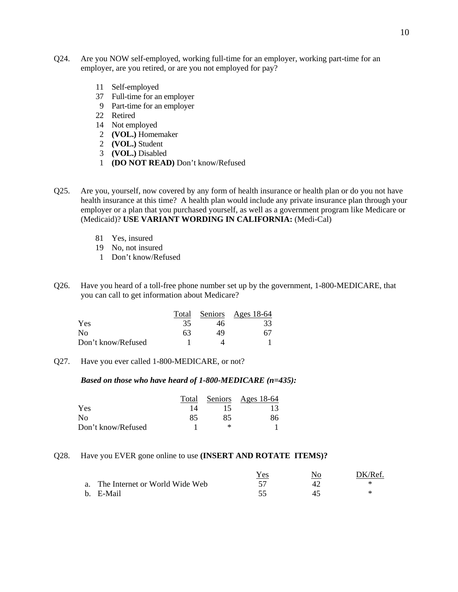- Q24. Are you NOW self-employed, working full-time for an employer, working part-time for an employer, are you retired, or are you not employed for pay?
	- 11 Self-employed
	- 37 Full-time for an employer
	- 9 Part-time for an employer
	- 22 Retired
	- 14 Not employed
	- 2 **(VOL.)** Homemaker
	- 2 **(VOL.)** Student
	- 3 **(VOL.)** Disabled
	- 1 **(DO NOT READ)** Don't know/Refused
- Q25. Are you, yourself, now covered by any form of health insurance or health plan or do you not have health insurance at this time? A health plan would include any private insurance plan through your employer or a plan that you purchased yourself, as well as a government program like Medicare or (Medicaid)? **USE VARIANT WORDING IN CALIFORNIA:** (Medi-Cal)
	- 81 Yes, insured
	- 19 No, not insured
	- 1 Don't know/Refused
- Q26. Have you heard of a toll-free phone number set up by the government, 1-800-MEDICARE, that you can call to get information about Medicare?

|                    | Total |    | Seniors Ages 18-64 |
|--------------------|-------|----|--------------------|
| Yes                | 35    | 46 | 33                 |
| No.                | 63    | 49 | 67                 |
| Don't know/Refused |       |    |                    |

Q27. Have you ever called 1-800-MEDICARE, or not?

## *Based on those who have heard of 1-800-MEDICARE (n=435):*

|                    | Total |    | Seniors Ages 18-64 |
|--------------------|-------|----|--------------------|
| Yes                |       | 15 | 13                 |
| No                 | 85    | 85 | 86                 |
| Don't know/Refused |       | ∗  |                    |

### Q28. Have you EVER gone online to use **(INSERT AND ROTATE ITEMS)?**

|                                   | Yes | DK/Ref. |
|-----------------------------------|-----|---------|
| a. The Internet or World Wide Web |     |         |
| b. E-Mail                         |     |         |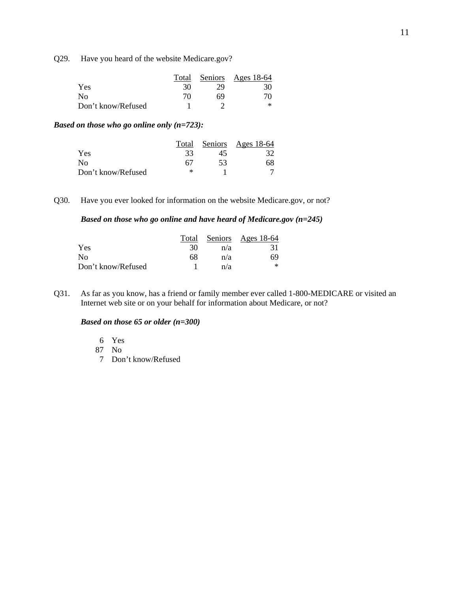Q29. Have you heard of the website Medicare.gov?

|                    | Total |    | <u>Seniors Ages 18-64</u> |
|--------------------|-------|----|---------------------------|
| Yes                | 30    | 29 | 30                        |
| Nο                 | 70    | 69 |                           |
| Don't know/Refused |       |    |                           |

## *Based on those who go online only (n=723):*

|                    |    |    | Total Seniors Ages 18-64 |
|--------------------|----|----|--------------------------|
| Yes                | 33 | 45 | 32                       |
| N <sub>0</sub>     | 67 | 53 | 68                       |
| Don't know/Refused | ∗  |    |                          |

Q30. Have you ever looked for information on the website Medicare.gov, or not?

## *Based on those who go online and have heard of Medicare.gov (n=245)*

|                    |    |     | Total Seniors Ages 18-64 |
|--------------------|----|-----|--------------------------|
| Yes                | 30 | n/a | 31                       |
| $\rm No$           | 68 | n/a | 69                       |
| Don't know/Refused |    | n/a | ∗                        |

Q31. As far as you know, has a friend or family member ever called 1-800-MEDICARE or visited an Internet web site or on your behalf for information about Medicare, or not?

#### *Based on those 65 or older (n=300)*

6 Yes

87 No

7 Don't know/Refused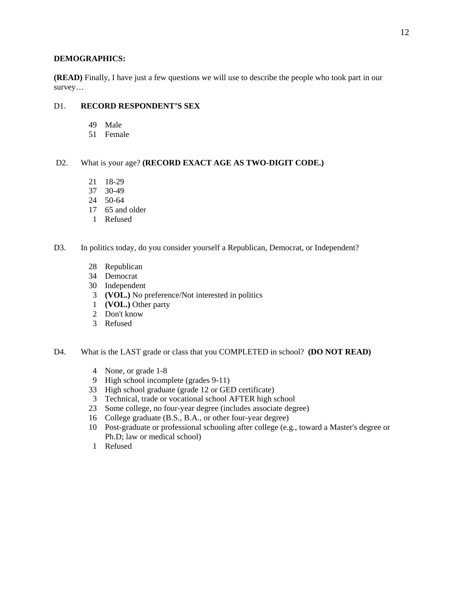### **DEMOGRAPHICS:**

**(READ)** Finally, I have just a few questions we will use to describe the people who took part in our survey…

## D1. **RECORD RESPONDENT'S SEX**

- 49 Male
- 51 Female

## D2. What is your age? **(RECORD EXACT AGE AS TWO-DIGIT CODE.)**

- 21 18-29
- 37 30-49
- 24 50-64
- 17 65 and older
- 1 Refused

## D3. In politics today, do you consider yourself a Republican, Democrat, or Independent?

- 28 Republican
- 34 Democrat
- 30 Independent
- 3 **(VOL.)** No preference/Not interested in politics
- 1 **(VOL.)** Other party
- 2 Don't know
- 3 Refused

D4. What is the LAST grade or class that you COMPLETED in school? **(DO NOT READ)** 

- 4 None, or grade 1-8
- 9 High school incomplete (grades 9-11)
- 33 High school graduate (grade 12 or GED certificate)
- 3 Technical, trade or vocational school AFTER high school
- 23 Some college, no four-year degree (includes associate degree)
- 16 College graduate (B.S., B.A., or other four-year degree)
- 10 Post-graduate or professional schooling after college (e.g., toward a Master's degree or Ph.D; law or medical school)
- 1 Refused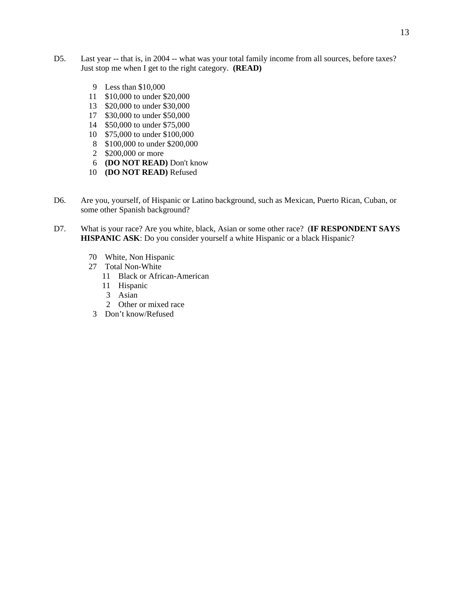- D5. Last year -- that is, in 2004 -- what was your total family income from all sources, before taxes? Just stop me when I get to the right category. **(READ)**
	- 9 Less than \$10,000
	- 11 \$10,000 to under \$20,000
	- 13 \$20,000 to under \$30,000
	- 17 \$30,000 to under \$50,000
	- 14 \$50,000 to under \$75,000
	- 10 \$75,000 to under \$100,000
	- 8 \$100,000 to under \$200,000
	- 2 \$200,000 or more
	- 6 **(DO NOT READ)** Don't know
	- 10 **(DO NOT READ)** Refused
- D6. Are you, yourself, of Hispanic or Latino background, such as Mexican, Puerto Rican, Cuban, or some other Spanish background?
- D7. What is your race? Are you white, black, Asian or some other race? (**IF RESPONDENT SAYS HISPANIC ASK**: Do you consider yourself a white Hispanic or a black Hispanic?
	- 70 White, Non Hispanic
	- 27 Total Non-White
		- 11 Black or African-American
		- 11 Hispanic
		- 3 Asian
		- 2 Other or mixed race
	- 3 Don't know/Refused